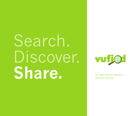# Search. Discover. **Share.**



An open-source resource discovery portal.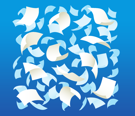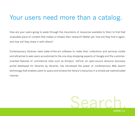## Your users need more than a catalog.

How are your users going to wade through the mountains of resources available to them to find that invaluable piece of content that makes or breaks their research? Better yet, how will they find it again, and how will they share it with others?

Contemporary libraries need state-of-the-art software to make their collections and services visible and attractive to web users accustomed to the one-stop-shopping aspects of Google and the customeroriented features of commercial sites such as Amazon. VuFind, an open-source resource discovery portal developed for libraries by libraries, has harnessed the power of contemporary Web search technology that enables users to query and browse the library's resources in a simple yet sophisticated manner.



**vufind.org**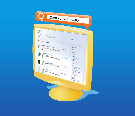Demo at **vufind.org**

| Manted                    | Al Reles (Fire)                                                                                                                   |                  | Login                                                              |
|---------------------------|-----------------------------------------------------------------------------------------------------------------------------------|------------------|--------------------------------------------------------------------|
|                           | Showing 1 - 20 of 74 Results for perl                                                                                             |                  |                                                                    |
|                           | Developing CGI applications with Perl /                                                                                           |                  | Narrow Search                                                      |
|                           | by Length Jam.<br>Call Number: TKS105.888 .D45 1996 Located: 4th Floor                                                            | Add to favorites | Format<br><b>Book</b> (72)                                         |
|                           | Advanced Perl programming /<br>by Srinivasan, Srinam,                                                                             |                  | Audio (1)<br>Video (1)<br>Author                                   |
|                           | Dy Strawingham, 2014an.<br>Call Number: 0476,73,922 SSSS 1997 Located: 4th Floor                                                  | Add to favorites | Perls, Frederick S. (5)<br>Perl, Jed. (3)<br>Epstein, Perle S. (2) |
|                           | Using Perl for Web programming /<br>Using Peri Not New Uning Continuums /<br>Call Namber: CA76,73,922 USS 1996 Located: 4th Floor |                  | Perl, Sondra. (2)<br>Perl, William R. (2)<br>Topic                 |
|                           | Teach yourself Perl in 21 days /                                                                                                  | Add to favorites | Perl (Computer program<br>language) (18)<br>Cestalt therapy. (8)   |
| Working<br><b>SOLOGIE</b> | Dy III, 19846.<br>Call Namber: 0476,73.922755 1995 Located: 4th Floor                                                             |                  | CCI (Computer network                                              |
|                           |                                                                                                                                   | Add to favoring  | Web servers (5)<br>Bioinformatics. (3)<br>Subject Area             |
|                           |                                                                                                                                   |                  | Science (18)<br>Language and Literature (15)                       |
|                           |                                                                                                                                   |                  |                                                                    |
|                           |                                                                                                                                   |                  |                                                                    |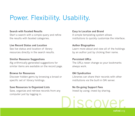## Power. Flexibility. Usability.

#### **Search with Faceted Results**

Start a search with a simple query and refine the results with faceted categories.

#### **Live Record Status and Location**

See live status and location of library resources directly in the search results.

#### **Similar Resource Suggestions**

Alg orithmically generated suggestions for similar items are available on the record page.

#### **Browse for Resources**

Discover hidden gems by browsing a broad or specific set of library holdings.

#### **Save Resources to Organized Lists**

Save, organize and retrieve records from any computer just by logging in.

#### **Easy to Localize and Brand**

A simple templating system allows institutions to quickly customize the interface.

#### **Author Biographies**

Learn more about and view all of the holdings by an author just by clicking their name.

#### **Persistent URLs**

The URLs never change so your bookmarks always work.

#### **OAI Syndication** Libraries can share their records with other institutions via the built-in OAI server.

**No On-going Support Fees** Invest by using; invest by sharing.



**vufind.org**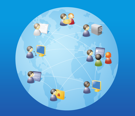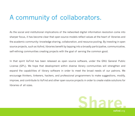## A community of collaborators.

As the social and institutional implications of the networked digital information revolution come into sharper focus, it has become clear that open source models reflect values at the heart of libraries and the academic community: knowledge sharing, collaboration, and resource pooling. By investing in open source projects, such as Vufind, libraries benefit by tapping into a broadly participative, communicative, self-refining communities creating projects with the goal of serving the common good.

In that spirit VuFind has been released as open source software, under the GNU General Public License (GPL). We hope that development within diverse library communities will strengthen and expand the capabilities of library software in order to meet the broad needs of our patrons. We encourage thinkers, tinkerers, hackers, and professional programmers to make suggestions, modify, improve, and contribute to VuFind and other open source projects in order to create viable solutions for libraries of all sizes.